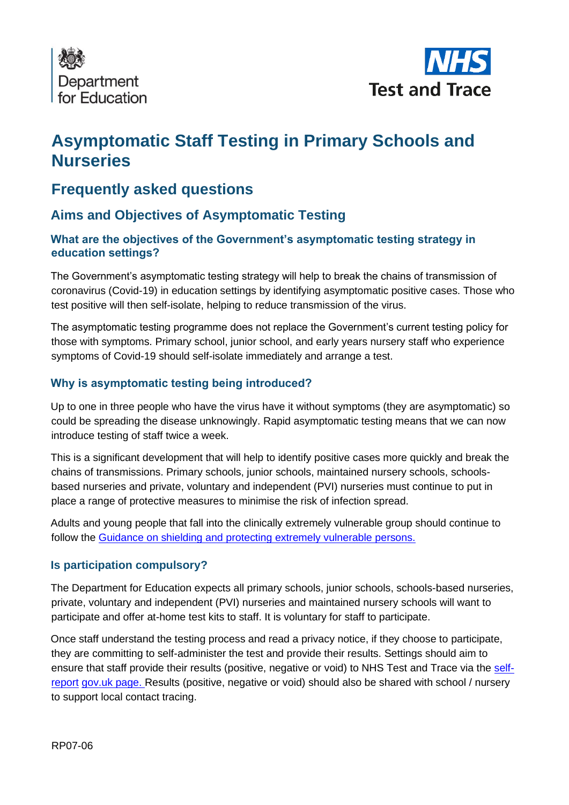



# **Asymptomatic Staff Testing in Primary Schools and Nurseries**

## **Frequently asked questions**

## **Aims and Objectives of Asymptomatic Testing**

#### **What are the objectives of the Government's asymptomatic testing strategy in education settings?**

The Government's asymptomatic testing strategy will help to break the chains of transmission of coronavirus (Covid-19) in education settings by identifying asymptomatic positive cases. Those who test positive will then self-isolate, helping to reduce transmission of the virus.

The asymptomatic testing programme does not replace the Government's current testing policy for those with symptoms. Primary school, junior school, and early years nursery staff who experience symptoms of Covid-19 should self-isolate immediately and arrange a test.

#### **Why is asymptomatic testing being introduced?**

Up to one in three people who have the virus have it without symptoms (they are asymptomatic) so could be spreading the disease unknowingly. Rapid asymptomatic testing means that we can now introduce testing of staff twice a week.

This is a significant development that will help to identify positive cases more quickly and break the chains of transmissions. Primary schools, junior schools, maintained nursery schools, schoolsbased nurseries and private, voluntary and independent (PVI) nurseries must continue to put in place a range of protective measures to minimise the risk of infection spread.

Adults and young people that fall into the clinically extremely vulnerable group should continue to follow the [Guidance on shielding and protecting extremely vulnerable](https://www.gov.uk/government/publications/guidance-on-shielding-and-protecting-extremely-vulnerable-persons-from-covid-19/guidance-on-shielding-and-protecting-extremely-vulnerable-persons-from-covid-19) [persons.](https://www.gov.uk/government/publications/guidance-on-shielding-and-protecting-extremely-vulnerable-persons-from-covid-19/guidance-on-shielding-and-protecting-extremely-vulnerable-persons-from-covid-19)

#### **Is participation compulsory?**

The Department for Education expects all primary schools, junior schools, schools-based nurseries, private, voluntary and independent (PVI) nurseries and maintained nursery schools will want to participate and offer at-home test kits to staff. It is voluntary for staff to participate.

Once staff understand the testing process and read a privacy notice, if they choose to participate, they are committing to self-administer the test and provide their results. Settings should aim to ensure that staff provide their results (positive, negative or void) to NHS Test and Trace via the [self](http://www.gov.uk/report-covid19-result)[report](http://www.gov.uk/report-covid19-result) [gov.uk page.](http://www.gov.uk/report-covid19-result) Results (positive, negative or void) should also be shared with school / nursery to support local contact tracing.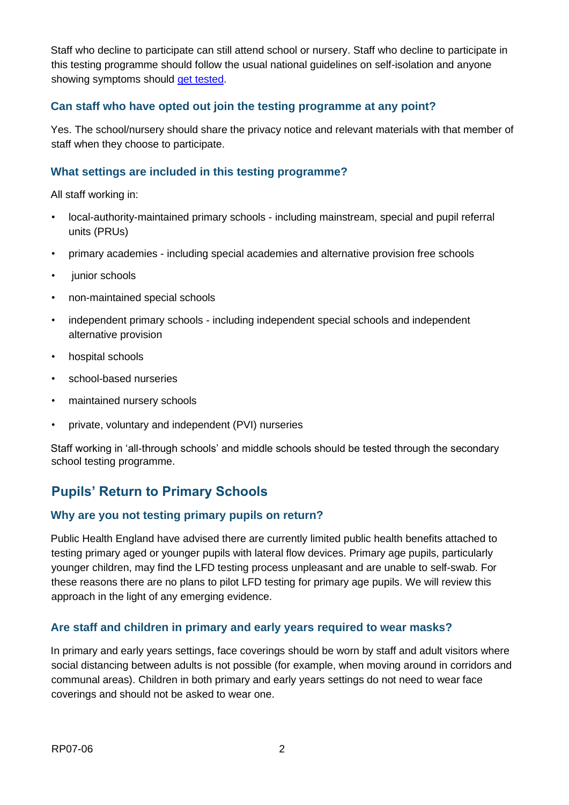Staff who decline to participate can still attend school or nursery. Staff who decline to participate in this testing programme should follow the usual national guidelines on self-isolation and anyone showing symptoms should get tested.

#### **Can staff who have opted out join the testing programme at any point?**

Yes. The school/nursery should share the privacy notice and relevant materials with that member of staff when they choose to participate.

#### **What settings are included in this testing programme?**

All staff working in:

- local-authority-maintained primary schools including mainstream, special and pupil referral units (PRUs)
- primary academies including special academies and alternative provision free schools
- junior schools
- non-maintained special schools
- independent primary schools including independent special schools and independent alternative provision
- hospital schools
- school-based nurseries
- maintained nursery schools
- private, voluntary and independent (PVI) nurseries

Staff working in 'all-through schools' and middle schools should be tested through the secondary school testing programme.

## **Pupils' Return to Primary Schools**

#### **Why are you not testing primary pupils on return?**

Public Health England have advised there are currently limited public health benefits attached to testing primary aged or younger pupils with lateral flow devices. Primary age pupils, particularly younger children, may find the LFD testing process unpleasant and are unable to self-swab. For these reasons there are no plans to pilot LFD testing for primary age pupils. We will review this approach in the light of any emerging evidence.

#### **Are staff and children in primary and early years required to wear masks?**

In primary and early years settings, face coverings should be worn by staff and adult visitors where social distancing between adults is not possible (for example, when moving around in corridors and communal areas). Children in both primary and early years settings do not need to wear face coverings and should not be asked to wear one.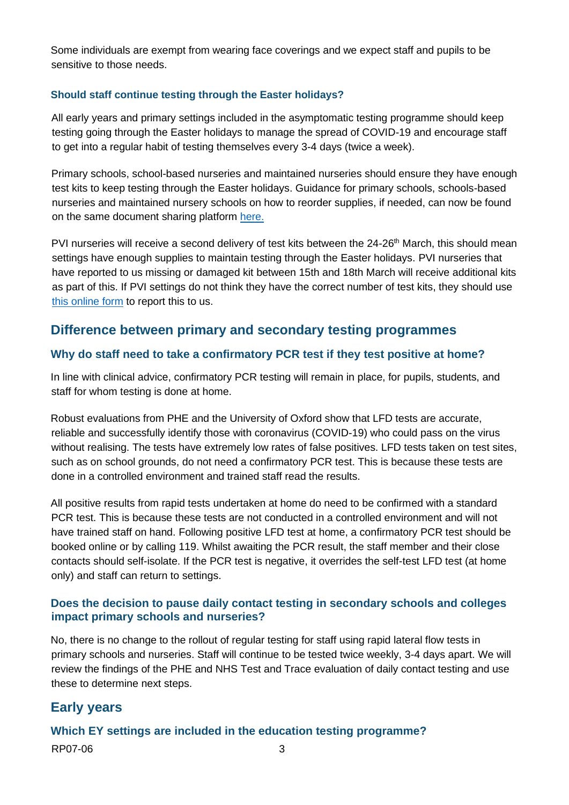Some individuals are exempt from wearing face coverings and we expect staff and pupils to be sensitive to those needs.

#### **Should staff continue testing through the Easter holidays?**

All early years and primary settings included in the asymptomatic testing programme should keep testing going through the Easter holidays to manage the spread of COVID-19 and encourage staff to get into a regular habit of testing themselves every 3-4 days (twice a week).

Primary schools, school-based nurseries and maintained nurseries should ensure they have enough test kits to keep testing through the Easter holidays. Guidance for primary schools, schools-based nurseries and maintained nursery schools on how to reorder supplies, if needed, can now be found on the same document sharing platform [here.](https://drive.google.com/drive/folders/1X4fLxy6_ppmpmKrv3hT2M6cduAN_GS54)

PVI nurseries will receive a second delivery of test kits between the 24-26<sup>th</sup> March, this should mean settings have enough supplies to maintain testing through the Easter holidays. PVI nurseries that have reported to us missing or damaged kit between 15th and 18th March will receive additional kits as part of this. If PVI settings do not think they have the correct number of test kits, they should use [this online form](https://form.education.gov.uk/service/rapid-delivery-supply-nursery) to report this to us.

### **Difference between primary and secondary testing programmes**

#### **Why do staff need to take a confirmatory PCR test if they test positive at home?**

In line with clinical advice, confirmatory PCR testing will remain in place, for pupils, students, and staff for whom testing is done at home.

Robust evaluations from PHE and the University of Oxford show that LFD tests are accurate, reliable and successfully identify those with coronavirus (COVID-19) who could pass on the virus without realising. The tests have extremely low rates of false positives. LFD tests taken on test sites, such as on school grounds, do not need a confirmatory PCR test. This is because these tests are done in a controlled environment and trained staff read the results.

All positive results from rapid tests undertaken at home do need to be confirmed with a standard PCR test. This is because these tests are not conducted in a controlled environment and will not have trained staff on hand. Following positive LFD test at home, a confirmatory PCR test should be booked online or by calling 119. Whilst awaiting the PCR result, the staff member and their close contacts should self-isolate. If the PCR test is negative, it overrides the self-test LFD test (at home only) and staff can return to settings.

#### **Does the decision to pause daily contact testing in secondary schools and colleges impact primary schools and nurseries?**

No, there is no change to the rollout of regular testing for staff using rapid lateral flow tests in primary schools and nurseries. Staff will continue to be tested twice weekly, 3-4 days apart. We will review the findings of the PHE and NHS Test and Trace evaluation of daily contact testing and use these to determine next steps.

## **Early years**

## RP07-06 3 **Which EY settings are included in the education testing programme?**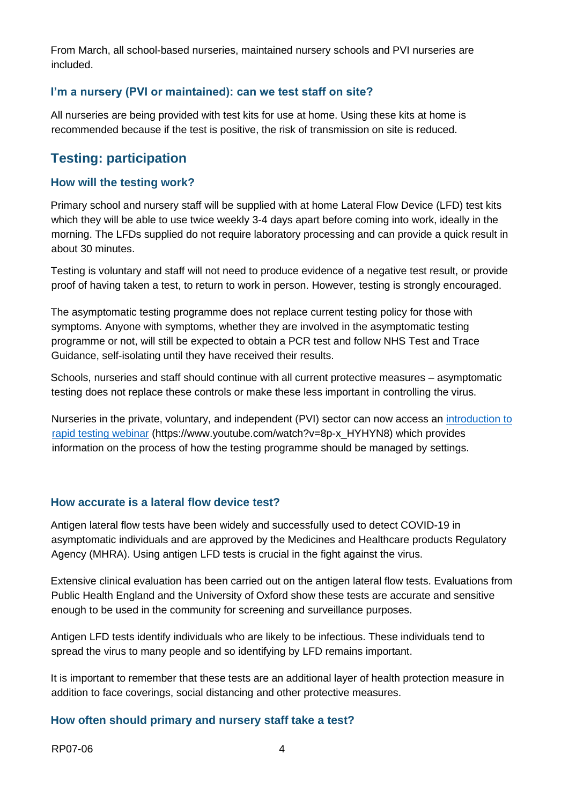From March, all school-based nurseries, maintained nursery schools and PVI nurseries are included.

#### **I'm a nursery (PVI or maintained): can we test staff on site?**

All nurseries are being provided with test kits for use at home. Using these kits at home is recommended because if the test is positive, the risk of transmission on site is reduced.

### **Testing: participation**

#### **How will the testing work?**

Primary school and nursery staff will be supplied with at home Lateral Flow Device (LFD) test kits which they will be able to use twice weekly 3-4 days apart before coming into work, ideally in the morning. The LFDs supplied do not require laboratory processing and can provide a quick result in about 30 minutes.

Testing is voluntary and staff will not need to produce evidence of a negative test result, or provide proof of having taken a test, to return to work in person. However, testing is strongly encouraged.

The asymptomatic testing programme does not replace current testing policy for those with symptoms. Anyone with symptoms, whether they are involved in the asymptomatic testing programme or not, will still be expected to obtain a PCR test and follow NHS Test and Trace Guidance, self-isolating until they have received their results.

Schools, nurseries and staff should continue with all current protective measures – asymptomatic testing does not replace these controls or make these less important in controlling the virus.

Nurseries in the private, voluntary, and independent (PVI) sector can now access an [introduction to](https://www.youtube.com/watch?v=8p-x_HYHYN8)  [rapid testing webinar](https://www.youtube.com/watch?v=8p-x_HYHYN8) (https://www.youtube.com/watch?v=8p-x\_HYHYN8) which provides information on the process of how the testing programme should be managed by settings.

#### **How accurate is a lateral flow device test?**

Antigen lateral flow tests have been widely and successfully used to detect COVID-19 in asymptomatic individuals and are approved by the Medicines and Healthcare products Regulatory Agency (MHRA). Using antigen LFD tests is crucial in the fight against the virus.

Extensive clinical evaluation has been carried out on the antigen lateral flow tests. Evaluations from Public Health England and the University of Oxford show these tests are accurate and sensitive enough to be used in the community for screening and surveillance purposes.

Antigen LFD tests identify individuals who are likely to be infectious. These individuals tend to spread the virus to many people and so identifying by LFD remains important.

It is important to remember that these tests are an additional layer of health protection measure in addition to face coverings, social distancing and other protective measures.

#### **How often should primary and nursery staff take a test?**

RP07-06 4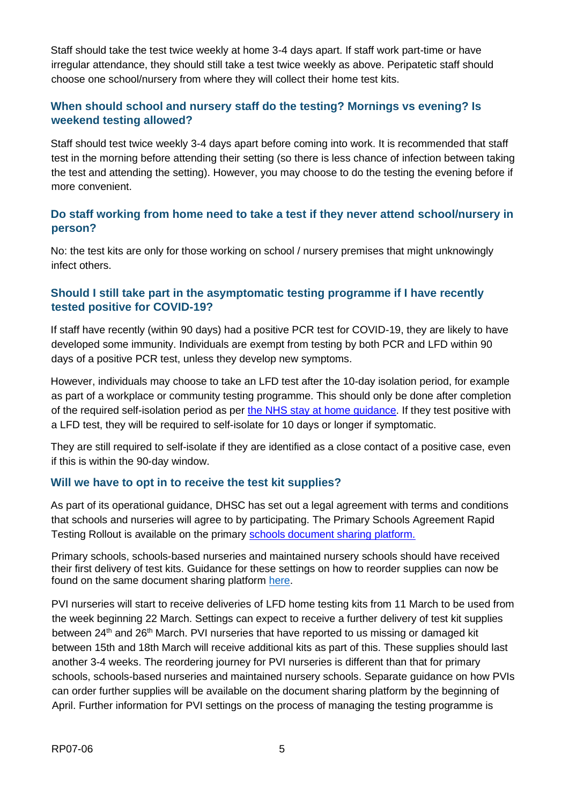Staff should take the test twice weekly at home 3-4 days apart. If staff work part-time or have irregular attendance, they should still take a test twice weekly as above. Peripatetic staff should choose one school/nursery from where they will collect their home test kits.

#### **When should school and nursery staff do the testing? Mornings vs evening? Is weekend testing allowed?**

Staff should test twice weekly 3-4 days apart before coming into work. It is recommended that staff test in the morning before attending their setting (so there is less chance of infection between taking the test and attending the setting). However, you may choose to do the testing the evening before if more convenient.

#### **Do staff working from home need to take a test if they never attend school/nursery in person?**

No: the test kits are only for those working on school / nursery premises that might unknowingly infect others.

#### **Should I still take part in the asymptomatic testing programme if I have recently tested positive for COVID-19?**

If staff have recently (within 90 days) had a positive PCR test for COVID-19, they are likely to have developed some immunity. Individuals are exempt from testing by both PCR and LFD within 90 days of a positive PCR test, unless they develop new symptoms.

However, individuals may choose to take an LFD test after the 10-day isolation period, for example as part of a workplace or community testing programme. This should only be done after completion of the required self-isolation period as per [the NHS stay at home guidance.](https://www.gov.uk/government/publications/covid-19-stay-at-home-guidance/stay-at-home-guidance-for-households-with-possible-coronavirus-covid-19-infection) If they test positive with a LFD test, they will be required to self-isolate for 10 days or longer if symptomatic.

They are still required to self-isolate if they are identified as a close contact of a positive case, even if this is within the 90-day window.

#### **Will we have to opt in to receive the test kit supplies?**

As part of its operational guidance, DHSC has set out a legal agreement with terms and conditions that schools and nurseries will agree to by participating. The Primary Schools Agreement Rapid Testing Rollout is available on the primary [schools document](https://drive.google.com/file/d/1_5h3gVW6d7CFUMljGafGovmiIjEDfQSi/view?usp=sharing) [sharing platform.](https://drive.google.com/file/d/1_5h3gVW6d7CFUMljGafGovmiIjEDfQSi/view?usp=sharing)

Primary schools, schools-based nurseries and maintained nursery schools should have received their first delivery of test kits. Guidance for these settings on how to reorder supplies can now be found on the same document sharing platform [here.](https://drive.google.com/drive/folders/1X4fLxy6_ppmpmKrv3hT2M6cduAN_GS54)

PVI nurseries will start to receive deliveries of LFD home testing kits from 11 March to be used from the week beginning 22 March. Settings can expect to receive a further delivery of test kit supplies between 24<sup>th</sup> and 26<sup>th</sup> March. PVI nurseries that have reported to us missing or damaged kit between 15th and 18th March will receive additional kits as part of this. These supplies should last another 3-4 weeks. The reordering journey for PVI nurseries is different than that for primary schools, schools-based nurseries and maintained nursery schools. Separate guidance on how PVIs can order further supplies will be available on the document sharing platform by the beginning of April. Further information for PVI settings on the process of managing the testing programme is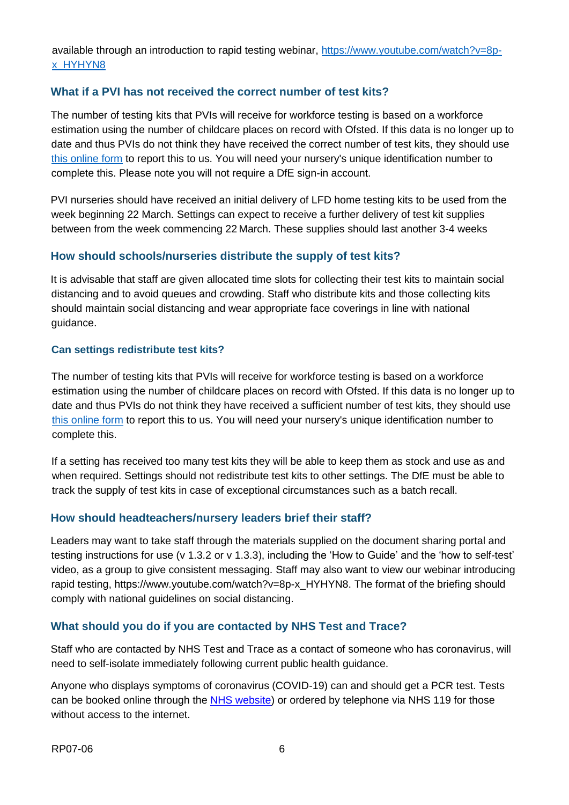available through an introduction to rapid testing webinar, [https://www.youtube.com/watch?v=8p](https://www.youtube.com/watch?v=8p-x_HYHYN8)[x\\_HYHYN8](https://www.youtube.com/watch?v=8p-x_HYHYN8)

#### **What if a PVI has not received the correct number of test kits?**

The number of testing kits that PVIs will receive for workforce testing is based on a workforce estimation using the number of childcare places on record with Ofsted. If this data is no longer up to date and thus PVIs do not think they have received the correct number of test kits, they should use [this online form](https://form.education.gov.uk/service/rapid-delivery-supply-nursery) to report this to us. You will need your nursery's unique identification number to complete this. Please note you will not require a DfE sign-in account.

PVI nurseries should have received an initial delivery of LFD home testing kits to be used from the week beginning 22 March. Settings can expect to receive a further delivery of test kit supplies between from the week commencing 22 March. These supplies should last another 3-4 weeks

#### **How should schools/nurseries distribute the supply of test kits?**

It is advisable that staff are given allocated time slots for collecting their test kits to maintain social distancing and to avoid queues and crowding. Staff who distribute kits and those collecting kits should maintain social distancing and wear appropriate face coverings in line with national guidance.

#### **Can settings redistribute test kits?**

The number of testing kits that PVIs will receive for workforce testing is based on a workforce estimation using the number of childcare places on record with Ofsted. If this data is no longer up to date and thus PVIs do not think they have received a sufficient number of test kits, they should use [this online form](https://form.education.gov.uk/service/rapid-delivery-supply-nursery) to report this to us. You will need your nursery's unique identification number to complete this.

If a setting has received too many test kits they will be able to keep them as stock and use as and when required. Settings should not redistribute test kits to other settings. The DfE must be able to track the supply of test kits in case of exceptional circumstances such as a batch recall.

#### **How should headteachers/nursery leaders brief their staff?**

Leaders may want to take staff through the materials supplied on the document sharing portal and testing instructions for use (v 1.3.2 or v 1.3.3), including the 'How to Guide' and the 'how to self-test' video, as a group to give consistent messaging. Staff may also want to view our webinar introducing rapid testing, https://www.youtube.com/watch?v=8p-x\_HYHYN8. The format of the briefing should comply with national guidelines on social distancing.

#### **What should you do if you are contacted by NHS Test and Trace?**

Staff who are contacted by NHS Test and Trace as a contact of someone who has coronavirus, will need to self-isolate immediately following current public health guidance.

Anyone who displays symptoms of coronavirus (COVID-19) can and should get a PCR test. Tests can be booked online through the [NHS website\)](https://www.gov.uk/get-coronavirus-test) or ordered by telephone via NHS 119 for those without access to the internet.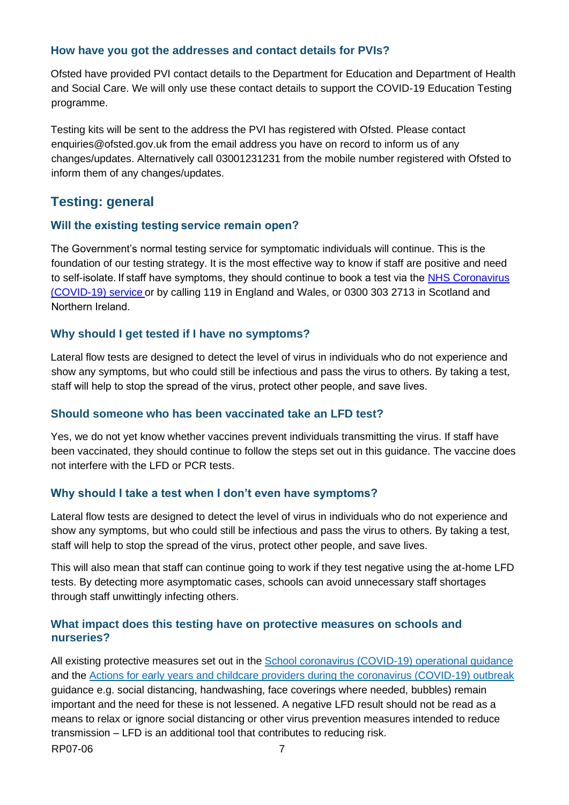#### **How have you got the addresses and contact details for PVIs?**

Ofsted have provided PVI contact details to the Department for Education and Department of Health and Social Care. We will only use these contact details to support the COVID-19 Education Testing programme.

Testing kits will be sent to the address the PVI has registered with Ofsted. Please contact enquiries@ofsted.gov.uk from the email address you have on record to inform us of any changes/updates. Alternatively call 03001231231 from the mobile number registered with Ofsted to inform them of any changes/updates.

## **Testing: general**

#### **Will the existing testing service remain open?**

The Government's normal testing service for symptomatic individuals will continue. This is the foundation of our testing strategy. It is the most effective way to know if staff are positive and need to self-isolate. If staff have symptoms, they should continue to book a test via the [NHS Coronavirus](https://www.nhs.uk/conditions/coronavirus-covid-19/self-isolation-and-treatment/when-to-self-isolate-and-what-to-do/) [\(COVID-19\) service](https://www.nhs.uk/conditions/coronavirus-covid-19/self-isolation-and-treatment/when-to-self-isolate-and-what-to-do/) [o](https://www.nhs.uk/conditions/coronavirus-covid-19/self-isolation-and-treatment/when-to-self-isolate-and-what-to-do/)r by calling 119 in England and Wales, or 0300 303 2713 in Scotland and Northern Ireland. 

#### **Why should I get tested if I have no symptoms?**

Lateral flow tests are designed to detect the level of virus in individuals who do not experience and show any symptoms, but who could still be infectious and pass the virus to others. By taking a test, staff will help to stop the spread of the virus, protect other people, and save lives.  

#### **Should someone who has been vaccinated take an LFD test?**

Yes, we do not yet know whether vaccines prevent individuals transmitting the virus. If staff have been vaccinated, they should continue to follow the steps set out in this guidance. The vaccine does not interfere with the LFD or PCR tests.

#### **Why should I take a test when I don't even have symptoms?**

Lateral flow tests are designed to detect the level of virus in individuals who do not experience and show any symptoms, but who could still be infectious and pass the virus to others. By taking a test, staff will help to stop the spread of the virus, protect other people, and save lives.

This will also mean that staff can continue going to work if they test negative using the at-home LFD tests. By detecting more asymptomatic cases, schools can avoid unnecessary staff shortages through staff unwittingly infecting others.

#### **What impact does this testing have on protective measures on schools and nurseries?**

RP07-06 7 All existing protective measures set out in the [School coronavirus \(COVID-19\) operational guidance](https://assets.publishing.service.gov.uk/government/uploads/system/uploads/attachment_data/file/964351/Schools_coronavirus_operational_guidance.pdf) and the [Actions for early years and childcare providers during the coronavirus \(COVID-19\) outbreak](https://assets.publishing.service.gov.uk/government/uploads/system/uploads/attachment_data/file/963510/2020208_actions_for_early_years_and_childcare_providers.pdf) guidance e.g. social distancing, handwashing, face coverings where needed, bubbles) remain important and the need for these is not lessened. A negative LFD result should not be read as a means to relax or ignore social distancing or other virus prevention measures intended to reduce transmission – LFD is an additional tool that contributes to reducing risk.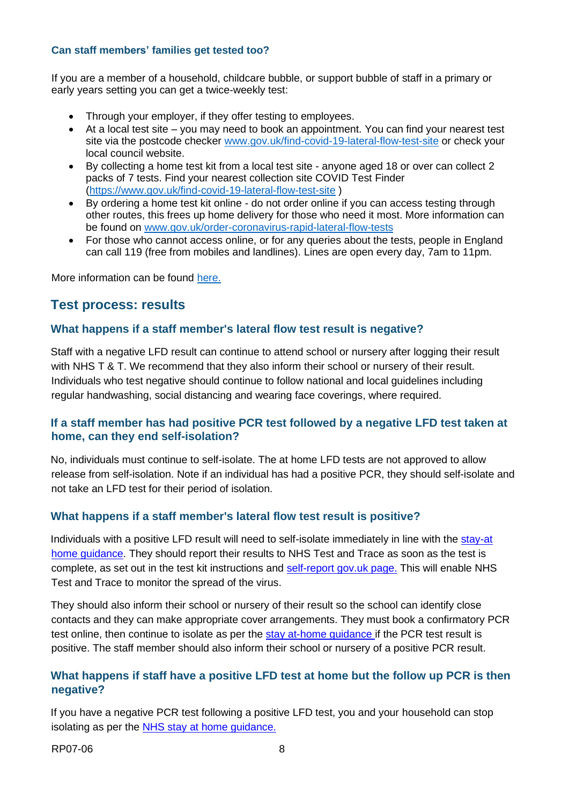#### **Can staff members' families get tested too?**

If you are a member of a household, childcare bubble, or support bubble of staff in a primary or early years setting you can get a twice-weekly test:

- Through your employer, if they offer testing to employees.
- At a local test site you may need to book an appointment. You can find your nearest test site via the postcode checker [www.gov.uk/find-covid-19-lateral-flow-test-site](http://www.gov.uk/find-covid-19-lateral-flow-test-site) or check your local council website.
- By collecting a home test kit from a local test site anyone aged 18 or over can collect 2 packs of 7 tests. Find your nearest collection site COVID Test Finder [\(https://www.gov.uk/find-covid-19-lateral-flow-test-site](https://www.gov.uk/find-covid-19-lateral-flow-test-site) )
- By ordering a home test kit online do not order online if you can access testing through other routes, this frees up home delivery for those who need it most. More information can be found on [www.gov.uk/order-coronavirus-rapid-lateral-flow-tests](http://www.gov.uk/order-coronavirus-rapid-lateral-flow-tests)
- For those who cannot access online, or for any queries about the tests, people in England can call 119 (free from mobiles and landlines). Lines are open every day, 7am to 11pm.

More information can be found [here.](https://www.gov.uk/guidance/rapid-lateral-flow-testing-for-households-and-bubbles-of-school-pupils-and-staff)

### **Test process: results**

#### **What happens if a staff member's lateral flow test result is negative?**

Staff with a negative LFD result can continue to attend school or nursery after logging their result with NHS T & T. We recommend that they also inform their school or nursery of their result. Individuals who test negative should continue to follow national and local guidelines including regular handwashing, social distancing and wearing face coverings, where required.

#### **If a staff member has had positive PCR test followed by a negative LFD test taken at home, can they end self-isolation?**

No, individuals must continue to self-isolate. The at home LFD tests are not approved to allow release from self-isolation. Note if an individual has had a positive PCR, they should self-isolate and not take an LFD test for their period of isolation.

#### **What happens if a staff member's lateral flow test result is positive?**

Individuals with a positive LFD result will need to self-isolate immediately in line with the [stay-at](https://www.gov.uk/government/publications/covid-19-stay-at-home-guidance/stay-at-home-guidance-for-households-with-possible-coronavirus-covid-19-infection) [home guidance.](https://www.gov.uk/government/publications/covid-19-stay-at-home-guidance/stay-at-home-guidance-for-households-with-possible-coronavirus-covid-19-infection) They should report their results to NHS Test and Trace as soon as the test is complete, as set out in the test kit instructions and [self-report](http://www.gov.uk/report-covid19-result) [gov.uk page.](http://www.gov.uk/report-covid19-result) This will enable NHS Test and Trace to monitor the spread of the virus.

They should also inform their school or nursery of their result so the school can identify close contacts and they can make appropriate cover arrangements. They must book a confirmatory PCR test online, then continue to isolate as per the [stay at-home guidance](https://www.gov.uk/government/publications/covid-19-stay-at-home-guidance/stay-at-home-guidance-for-households-with-possible-coronavirus-covid-19-infection) if the PCR test result is positive. The staff member should also inform their school or nursery of a positive PCR result.

#### **What happens if staff have a positive LFD test at home but the follow up PCR is then negative?**

If you have a negative PCR test following a positive LFD test, you and your household can stop isolating as per the [NHS stay at home guidance.](https://www.gov.uk/government/publications/covid-19-stay-at-home-guidance/stay-at-home-guidance-for-households-with-possible-coronavirus-covid-19-infection)

RP07-06 [8](https://www.gov.uk/government/publications/covid-19-stay-at-home-guidance/stay-at-home-guidance-for-households-with-possible-coronavirus-covid-19-infection)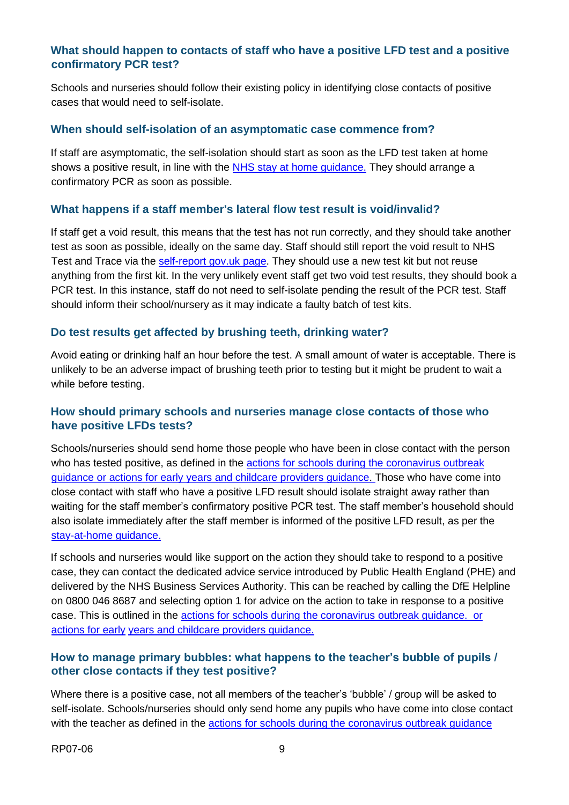#### **What should happen to contacts of staff who have a positive LFD test and a positive confirmatory PCR test?**

Schools and nurseries should follow their existing policy in identifying close contacts of positive cases that would need to self-isolate.

#### **When should self-isolation of an asymptomatic case commence from?**

If staff are asymptomatic, the self-isolation should start as soon as the LFD test taken at home shows a positive result, in line with the [NHS stay at home guidance.](https://www.gov.uk/government/publications/covid-19-stay-at-home-guidance/stay-at-home-guidance-for-households-with-possible-coronavirus-covid-19-infection) [T](https://www.gov.uk/government/publications/covid-19-stay-at-home-guidance/stay-at-home-guidance-for-households-with-possible-coronavirus-covid-19-infection)hey should arrange a confirmatory PCR as soon as possible.

#### **What happens if a staff member's lateral flow test result is void/invalid?**

If staff get a void result, this means that the test has not run correctly, and they should take another test as soon as possible, ideally on the same day. Staff should still report the void result to NHS Test and Trace via the [self-report gov.uk page.](http://www.gov.uk/report-covid19-result) They should use a new test kit but not reuse anything from the first kit. In the very unlikely event staff get two void test results, they should book a PCR test. In this instance, staff do not need to self-isolate pending the result of the PCR test. Staff should inform their school/nursery as it may indicate a faulty batch of test kits.

#### **Do test results get affected by brushing teeth, drinking water?**

Avoid eating or drinking half an hour before the test. A small amount of water is acceptable. There is unlikely to be an adverse impact of brushing teeth prior to testing but it might be prudent to wait a while before testing.

#### **How should primary schools and nurseries manage close contacts of those who have positive LFDs tests?**

Schools/nurseries should send home those people who have been in close contact with the person who has tested positive, as defined in the [actions for schools during the coronavirus](https://www.gov.uk/government/publications/actions-for-schools-during-the-coronavirus-outbreak) [outbreak](https://www.gov.uk/government/publications/actions-for-schools-during-the-coronavirus-outbreak) [guidanc](https://www.gov.uk/government/publications/actions-for-schools-during-the-coronavirus-outbreak)[e](https://www.gov.uk/government/publications/coronavirus-covid-19-early-years-and-childcare-closures/coronavirus-covid-19-early-years-and-childcare-closures) [or actions for early years and childcare providers](https://www.gov.uk/government/publications/coronavirus-covid-19-early-years-and-childcare-closures/coronavirus-covid-19-early-years-and-childcare-closures) [guidance.](https://www.gov.uk/government/publications/coronavirus-covid-19-early-years-and-childcare-closures/coronavirus-covid-19-early-years-and-childcare-closures) Those who have come into close contact with staff who have a positive LFD result should isolate straight away rather than waiting for the staff member's confirmatory positive PCR test. The staff member's household should also isolate immediately after the staff member is informed of the positive LFD result, as per the [stay-at-home guidance.](https://www.gov.uk/government/publications/covid-19-stay-at-home-guidance/stay-at-home-guidance-for-households-with-possible-coronavirus-covid-19-infection)

If schools and nurseries would like support on the action they should take to respond to a positive case, they can contact the dedicated advice service introduced by Public Health England (PHE) and delivered by the NHS Business Services Authority. This can be reached by calling the DfE Helpline on 0800 046 8687 and selecting option 1 for advice on the action to take in response to a positive case. This is outlined in the [actions for schools during the coronavirus](https://www.gov.uk/government/publications/actions-for-schools-during-the-coronavirus-outbreak) [outbreak guidance.](https://www.gov.uk/government/publications/actions-for-schools-during-the-coronavirus-outbreak) [or](https://www.gov.uk/government/publications/coronavirus-covid-19-early-years-and-childcare-closures/coronavirus-covid-19-early-years-and-childcare-closures)  [actions for early](https://www.gov.uk/government/publications/coronavirus-covid-19-early-years-and-childcare-closures/coronavirus-covid-19-early-years-and-childcare-closures) [years and childcare providers guidance.](https://www.gov.uk/government/publications/coronavirus-covid-19-early-years-and-childcare-closures/coronavirus-covid-19-early-years-and-childcare-closures)

#### **How to manage primary bubbles: what happens to the teacher's bubble of pupils / other close contacts if they test positive?**

Where there is a positive case, not all members of the teacher's 'bubble' / group will be asked to self-isolate. Schools/nurseries should only send home any pupils who have come into close contact with the teacher as defined in the [actions for schools during the coronavirus](https://www.gov.uk/government/publications/actions-for-schools-during-the-coronavirus-outbreak) [outbreak guidance](https://www.gov.uk/government/publications/actions-for-schools-during-the-coronavirus-outbreak)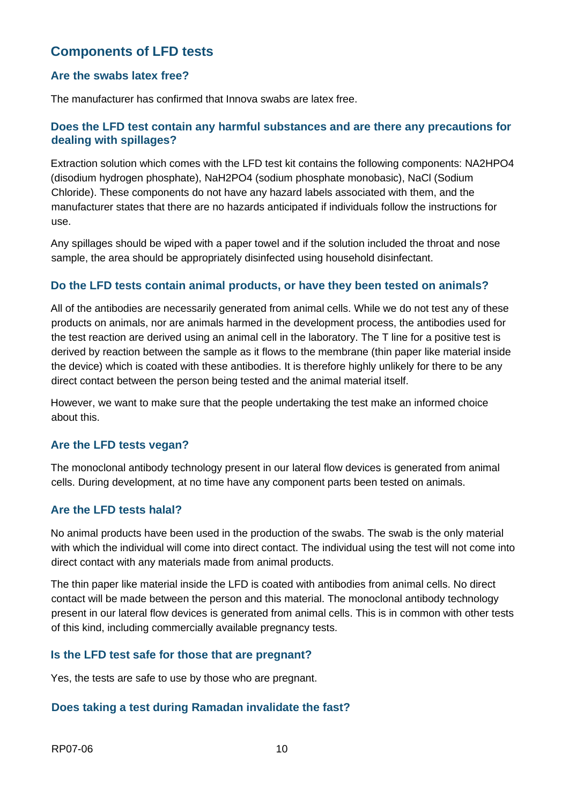## **Components of LFD tests**

#### **Are the swabs latex free?**

The manufacturer has confirmed that Innova swabs are latex free.

#### **Does the LFD test contain any harmful substances and are there any precautions for dealing with spillages?**

Extraction solution which comes with the LFD test kit contains the following components: NA2HPO4 (disodium hydrogen phosphate), NaH2PO4 (sodium phosphate monobasic), NaCl (Sodium Chloride). These components do not have any hazard labels associated with them, and the manufacturer states that there are no hazards anticipated if individuals follow the instructions for use.

Any spillages should be wiped with a paper towel and if the solution included the throat and nose sample, the area should be appropriately disinfected using household disinfectant.

#### **Do the LFD tests contain animal products, or have they been tested on animals?**

All of the antibodies are necessarily generated from animal cells. While we do not test any of these products on animals, nor are animals harmed in the development process, the antibodies used for the test reaction are derived using an animal cell in the laboratory. The T line for a positive test is derived by reaction between the sample as it flows to the membrane (thin paper like material inside the device) which is coated with these antibodies. It is therefore highly unlikely for there to be any direct contact between the person being tested and the animal material itself.

However, we want to make sure that the people undertaking the test make an informed choice about this.

#### **Are the LFD tests vegan?**

The monoclonal antibody technology present in our lateral flow devices is generated from animal cells. During development, at no time have any component parts been tested on animals.

#### **Are the LFD tests halal?**

No animal products have been used in the production of the swabs. The swab is the only material with which the individual will come into direct contact. The individual using the test will not come into direct contact with any materials made from animal products.

The thin paper like material inside the LFD is coated with antibodies from animal cells. No direct contact will be made between the person and this material. The monoclonal antibody technology present in our lateral flow devices is generated from animal cells. This is in common with other tests of this kind, including commercially available pregnancy tests.

#### **Is the LFD test safe for those that are pregnant?**

Yes, the tests are safe to use by those who are pregnant.

#### **Does taking a test during Ramadan invalidate the fast?**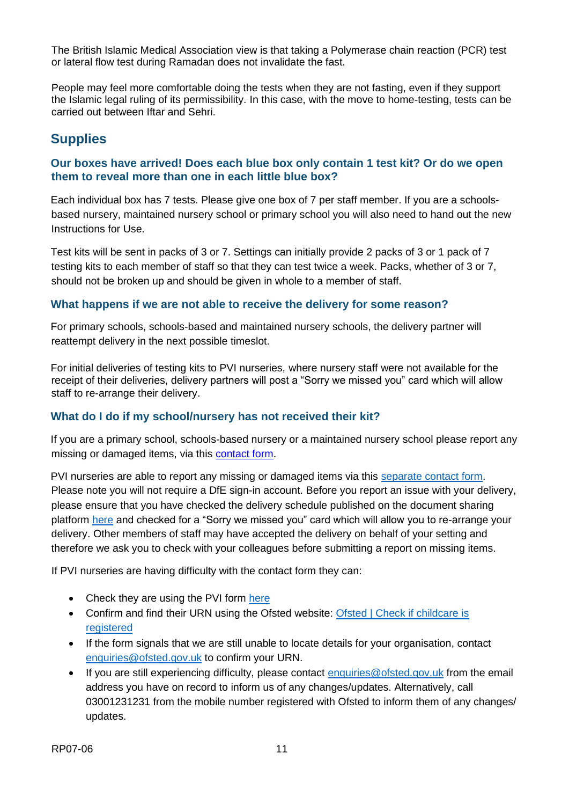The British Islamic Medical Association view is that taking a Polymerase chain reaction (PCR) test or lateral flow test during Ramadan does not invalidate the fast.

People may feel more comfortable doing the tests when they are not fasting, even if they support the Islamic legal ruling of its permissibility. In this case, with the move to home-testing, tests can be carried out between Iftar and Sehri.

## **Supplies**

#### **Our boxes have arrived! Does each blue box only contain 1 test kit? Or do we open them to reveal more than one in each little blue box?**

Each individual box has 7 tests. Please give one box of 7 per staff member. If you are a schoolsbased nursery, maintained nursery school or primary school you will also need to hand out the new Instructions for Use.

Test kits will be sent in packs of 3 or 7. Settings can initially provide 2 packs of 3 or 1 pack of 7 testing kits to each member of staff so that they can test twice a week. Packs, whether of 3 or 7, should not be broken up and should be given in whole to a member of staff.

#### **What happens if we are not able to receive the delivery for some reason?**

For primary schools, schools-based and maintained nursery schools, the delivery partner will reattempt delivery in the next possible timeslot.

For initial deliveries of testing kits to PVI nurseries, where nursery staff were not available for the receipt of their deliveries, delivery partners will post a "Sorry we missed you" card which will allow staff to re-arrange their delivery.

#### **What do I do if my school/nursery has not received their kit?**

If you are a primary school, schools-based nursery or a maintained nursery school please report any missing or damaged items, via this [contact form.](https://form.education.gov.uk/service/rapid-testing-contact) 

PVI nurseries are able to report any missing or damaged items via this [separate contact form.](https://form.education.gov.uk/service/rapid-delivery-supply-nursery) Please note you will not require a DfE sign-in account. Before you report an issue with your delivery, please ensure that you have checked the delivery schedule published on the document sharing platform [here](https://drive.google.com/file/d/1uRG20r2gryxSBrUHgijxX-rLmA2Fg_HU/view?usp=sharing) and checked for a "Sorry we missed you" card which will allow you to re-arrange your delivery. Other members of staff may have accepted the delivery on behalf of your setting and therefore we ask you to check with your colleagues before submitting a report on missing items.

If PVI nurseries are having difficulty with the contact form they can:

- Check they are using the PVI form [here](https://form.education.gov.uk/service/rapid-delivery-supply-nursery)
- Confirm and find their URN using the Ofsted website: Ofsted | Check if childcare is [registered](https://reports.ofsted.gov.uk/childcare)
- If the form signals that we are still unable to locate details for your organisation, contact [enquiries@ofsted.gov.uk](mailto:enquiries@ofsted.gov.uk) to confirm your URN.
- If you are still experiencing difficulty, please contact [enquiries@ofsted.gov.uk](mailto:enquiries@ofsted.gov.uk) from the email address you have on record to inform us of any changes/updates. Alternatively, call 03001231231 from the mobile number registered with Ofsted to inform them of any changes/ updates.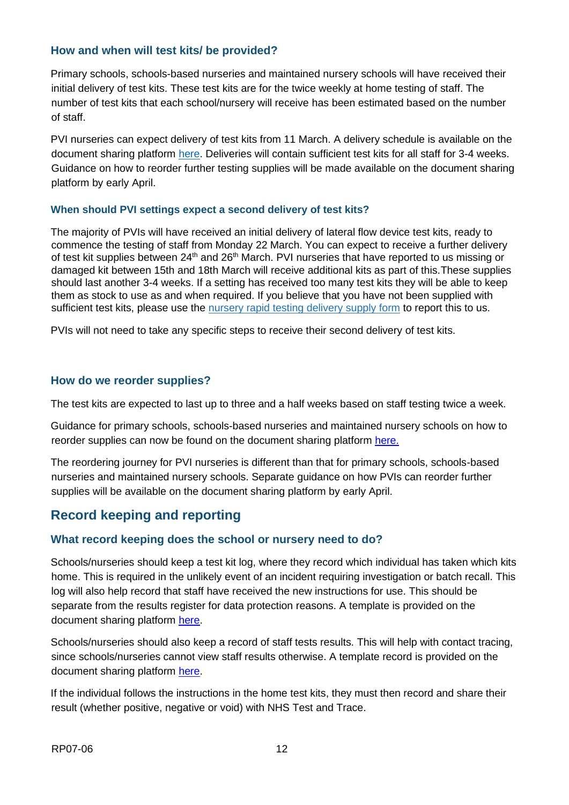#### **How and when will test kits/ be provided?**

Primary schools, schools-based nurseries and maintained nursery schools will have received their initial delivery of test kits. These test kits are for the twice weekly at home testing of staff. The number of test kits that each school/nursery will receive has been estimated based on the number of staff.

PVI nurseries can expect delivery of test kits from 11 March. A delivery schedule is available on the document sharing platform [here.](https://drive.google.com/file/d/1uRG20r2gryxSBrUHgijxX-rLmA2Fg_HU/view?usp=sharing) Deliveries will contain sufficient test kits for all staff for 3-4 weeks. Guidance on how to reorder further testing supplies will be made available on the document sharing platform by early April.

#### **When should PVI settings expect a second delivery of test kits?**

The majority of PVIs will have received an initial delivery of lateral flow device test kits, ready to commence the testing of staff from Monday 22 March. You can expect to receive a further delivery of test kit supplies between 24<sup>th</sup> and 26<sup>th</sup> March. PVI nurseries that have reported to us missing or damaged kit between 15th and 18th March will receive additional kits as part of this.These supplies should last another 3-4 weeks. If a setting has received too many test kits they will be able to keep them as stock to use as and when required. If you believe that you have not been supplied with sufficient test kits, please use the [nursery rapid testing delivery supply form](https://form.education.gov.uk/service/rapid-delivery-supply-nursery) to report this to us.

PVIs will not need to take any specific steps to receive their second delivery of test kits.

#### **How do we reorder supplies?**

The test kits are expected to last up to three and a half weeks based on staff testing twice a week.

Guidance for primary schools, schools-based nurseries and maintained nursery schools on how to reorder supplies can now be found on the document sharing platform [here.](https://drive.google.com/file/d/1thBA5rED6OvnfY8aSF-50OUH7Eh7AIv5/view?usp=sharing)

The reordering journey for PVI nurseries is different than that for primary schools, schools-based nurseries and maintained nursery schools. Separate guidance on how PVIs can reorder further supplies will be available on the document sharing platform by early April.

## **Record keeping and reporting**

#### **What record keeping does the school or nursery need to do?**

Schools/nurseries should keep a test kit log, where they record which individual has taken which kits home. This is required in the unlikely event of an incident requiring investigation or batch recall. This log will also help record that staff have received the new instructions for use. This should be separate from the results register for data protection reasons. A template is provided on the document sharing platform [here.](https://drive.google.com/file/d/1HIJO0GedfJWLd9VbACMr6CrytVyLNm8B/view?usp=sharing) 

Schools/nurseries should also keep a record of staff tests results. This will help with contact tracing, since schools/nurseries cannot view staff results otherwise. A template record is provided on the document sharing platform [here.](https://drive.google.com/file/d/1HIJO0GedfJWLd9VbACMr6CrytVyLNm8B/view?usp=sharing) 

If the individual follows the instructions in the home test kits, they must then record and share their result (whether positive, negative or void) with NHS Test and Trace.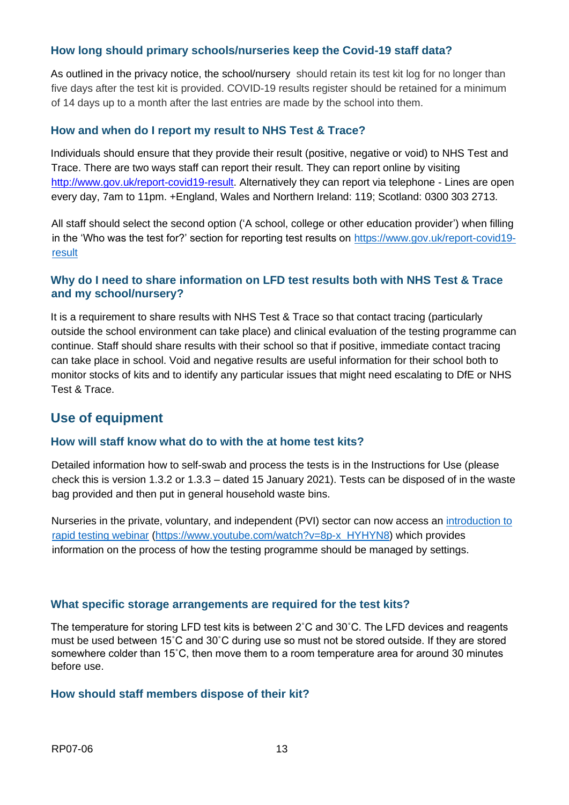#### **How long should primary schools/nurseries keep the Covid-19 staff data?**

As outlined in the privacy notice, the school/nursery should retain its test kit log for no longer than five days after the test kit is provided. COVID-19 results register should be retained for a minimum of 14 days up to a month after the last entries are made by the school into them.

#### **How and when do I report my result to NHS Test & Trace?**

Individuals should ensure that they provide their result (positive, negative or void) to NHS Test and Trace. There are two ways staff can report their result. They can report online by visiting [http://www.gov.uk/report-covid19-result.](http://www.gov.uk/report-covid19-result) Alternatively they can report via telephone - Lines are open every day, 7am to 11pm. +England, Wales and Northern Ireland: 119; Scotland: 0300 303 2713.

All staff should select the second option ('A school, college or other education provider') when filling in the 'Who was the test for?' section for reporting test results on [https://www.gov.uk/report-covid19](https://www.gov.uk/report-covid19-result) [result](https://www.gov.uk/report-covid19-result)

#### **Why do I need to share information on LFD test results both with NHS Test & Trace and my school/nursery?**

It is a requirement to share results with NHS Test & Trace so that contact tracing (particularly outside the school environment can take place) and clinical evaluation of the testing programme can continue. Staff should share results with their school so that if positive, immediate contact tracing can take place in school. Void and negative results are useful information for their school both to monitor stocks of kits and to identify any particular issues that might need escalating to DfE or NHS Test & Trace.

### **Use of equipment**

#### **How will staff know what do to with the at home test kits?**

Detailed information how to self-swab and process the tests is in the Instructions for Use (please check this is version 1.3.2 or 1.3.3 – dated 15 January 2021). Tests can be disposed of in the waste bag provided and then put in general household waste bins.

Nurseries in the private, voluntary, and independent (PVI) sector can now access an introduction to [rapid testing webinar](https://www.youtube.com/watch?v=8p-x_HYHYN8) [\(https://www.youtube.com/watch?v=8p-x\\_HYHYN8\)](https://www.youtube.com/watch?v=8p-x_HYHYN8) which provides information on the process of how the testing programme should be managed by settings.

#### **What specific storage arrangements are required for the test kits?**

The temperature for storing LFD test kits is between 2˚C and 30˚C. The LFD devices and reagents must be used between 15˚C and 30˚C during use so must not be stored outside. If they are stored somewhere colder than 15˚C, then move them to a room temperature area for around 30 minutes before use.

#### **How should staff members dispose of their kit?**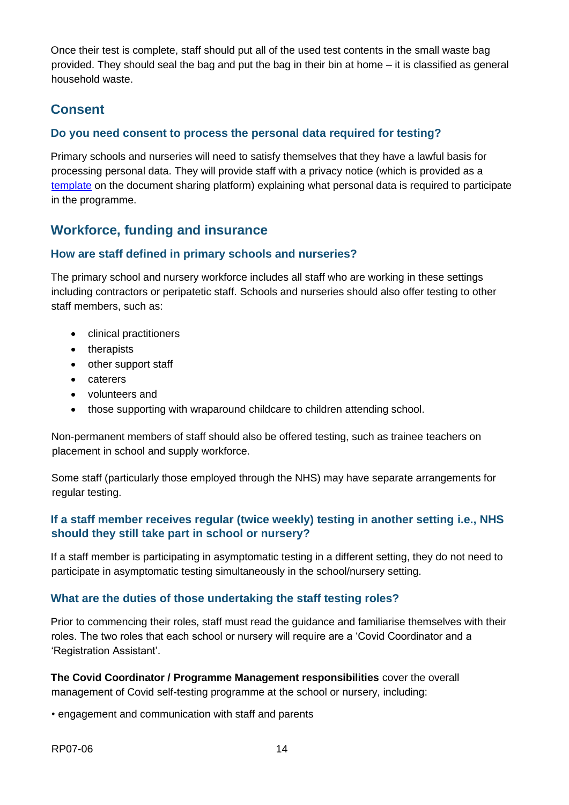Once their test is complete, staff should put all of the used test contents in the small waste bag provided. They should seal the bag and put the bag in their bin at home – it is classified as general household waste.

## **Consent**

#### **Do you need consent to process the personal data required for testing?**

Primary schools and nurseries will need to satisfy themselves that they have a lawful basis for processing personal data. They will provide staff with a privacy notice (which is provided as a [template](https://drive.google.com/file/d/1m7v_BBqi5LvNJHPKB7Kmea0cuCkHfQhj/view?usp=sharing) on the document sharing platform) explaining what personal data is required to participate in the programme.

## **Workforce, funding and insurance**

#### **How are staff defined in primary schools and nurseries?**

The primary school and nursery workforce includes all staff who are working in these settings including contractors or peripatetic staff. Schools and nurseries should also offer testing to other staff members, such as:

- clinical practitioners
- therapists
- other support staff
- caterers
- volunteers and
- those supporting with wraparound childcare to children attending school.

Non-permanent members of staff should also be offered testing, such as trainee teachers on placement in school and supply workforce.

Some staff (particularly those employed through the NHS) may have separate arrangements for regular testing.

#### **If a staff member receives regular (twice weekly) testing in another setting i.e., NHS should they still take part in school or nursery?**

If a staff member is participating in asymptomatic testing in a different setting, they do not need to participate in asymptomatic testing simultaneously in the school/nursery setting.

#### **What are the duties of those undertaking the staff testing roles?**

Prior to commencing their roles, staff must read the guidance and familiarise themselves with their roles. The two roles that each school or nursery will require are a 'Covid Coordinator and a 'Registration Assistant'.

**The Covid Coordinator / Programme Management responsibilities** cover the overall management of Covid self-testing programme at the school or nursery, including:

• engagement and communication with staff and parents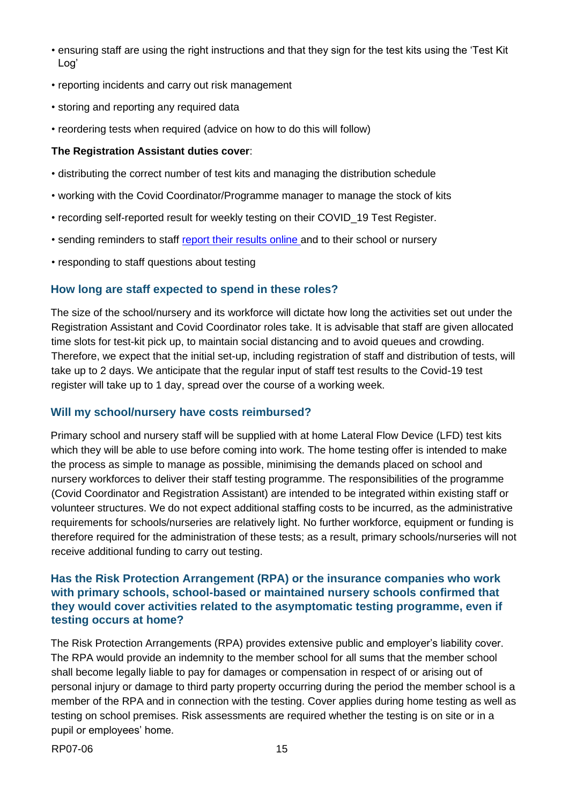- ensuring staff are using the right instructions and that they sign for the test kits using the 'Test Kit Log'
- reporting incidents and carry out risk management
- storing and reporting any required data
- reordering tests when required (advice on how to do this will follow)

#### **The Registration Assistant duties cover**:

- distributing the correct number of test kits and managing the distribution schedule
- working with the Covid Coordinator/Programme manager to manage the stock of kits
- recording self-reported result for weekly testing on their COVID\_19 Test Register.
- sending reminders to staff [report their results online](https://www.gov.uk/report-covid19-result) and to their school or nursery
- responding to staff questions about testing

#### **How long are staff expected to spend in these roles?**

The size of the school/nursery and its workforce will dictate how long the activities set out under the Registration Assistant and Covid Coordinator roles take. It is advisable that staff are given allocated time slots for test-kit pick up, to maintain social distancing and to avoid queues and crowding. Therefore, we expect that the initial set-up, including registration of staff and distribution of tests, will take up to 2 days. We anticipate that the regular input of staff test results to the Covid-19 test register will take up to 1 day, spread over the course of a working week.

#### **Will my school/nursery have costs reimbursed?**

Primary school and nursery staff will be supplied with at home Lateral Flow Device (LFD) test kits which they will be able to use before coming into work. The home testing offer is intended to make the process as simple to manage as possible, minimising the demands placed on school and nursery workforces to deliver their staff testing programme. The responsibilities of the programme (Covid Coordinator and Registration Assistant) are intended to be integrated within existing staff or volunteer structures. We do not expect additional staffing costs to be incurred, as the administrative requirements for schools/nurseries are relatively light. No further workforce, equipment or funding is therefore required for the administration of these tests; as a result, primary schools/nurseries will not receive additional funding to carry out testing.

#### **Has the Risk Protection Arrangement (RPA) or the insurance companies who work with primary schools, school-based or maintained nursery schools confirmed that they would cover activities related to the asymptomatic testing programme, even if testing occurs at home?**

The Risk Protection Arrangements (RPA) provides extensive public and employer's liability cover. The RPA would provide an indemnity to the member school for all sums that the member school shall become legally liable to pay for damages or compensation in respect of or arising out of personal injury or damage to third party property occurring during the period the member school is a member of the RPA and in connection with the testing. Cover applies during home testing as well as testing on school premises. Risk assessments are required whether the testing is on site or in a pupil or employees' home.

RP07-06 15